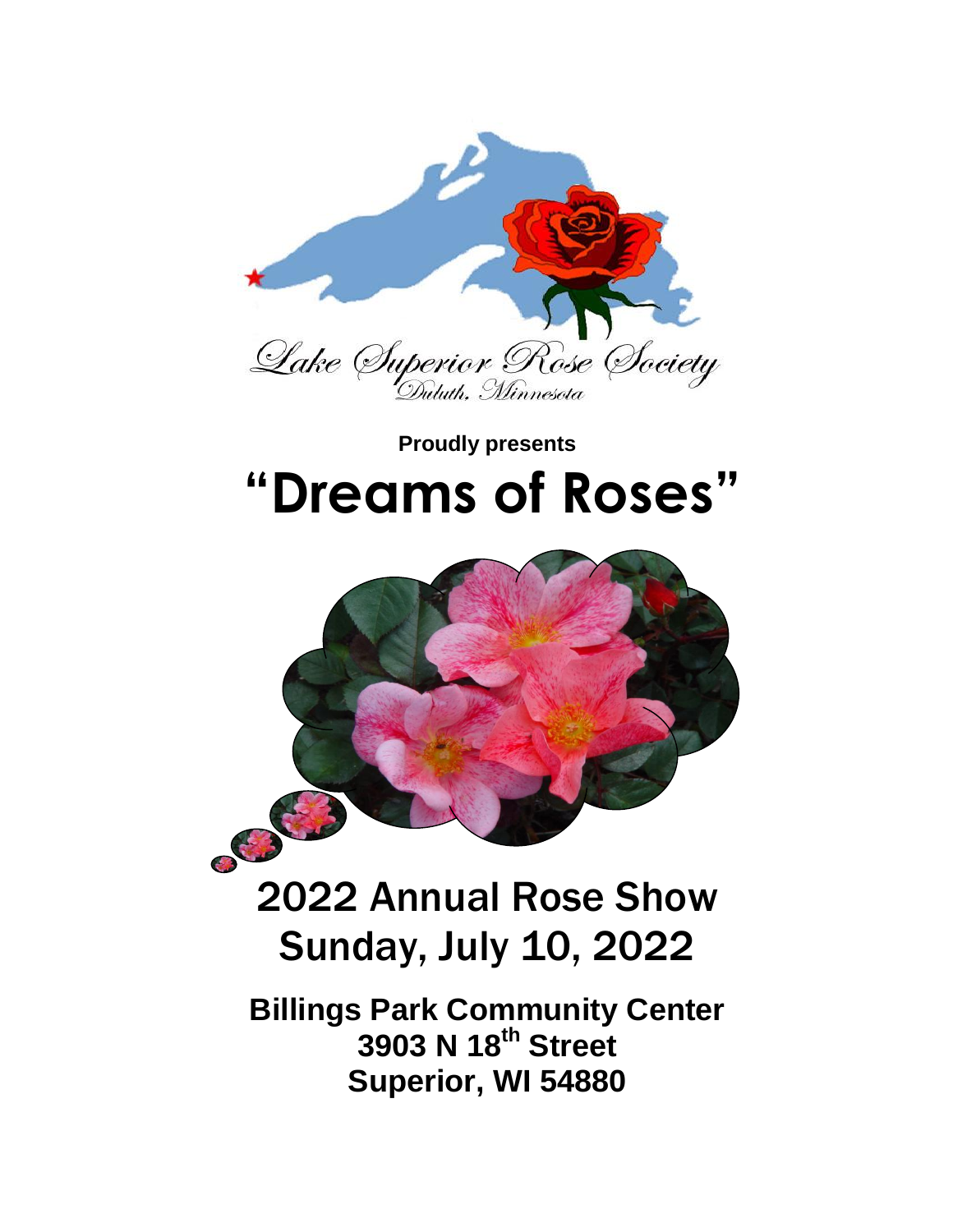

# **Proudly presents "Dreams of Roses"**



# 2022 Annual Rose Show Sunday, July 10, 2022

**Billings Park Community Center 3903 N 18th Street Superior, WI 54880**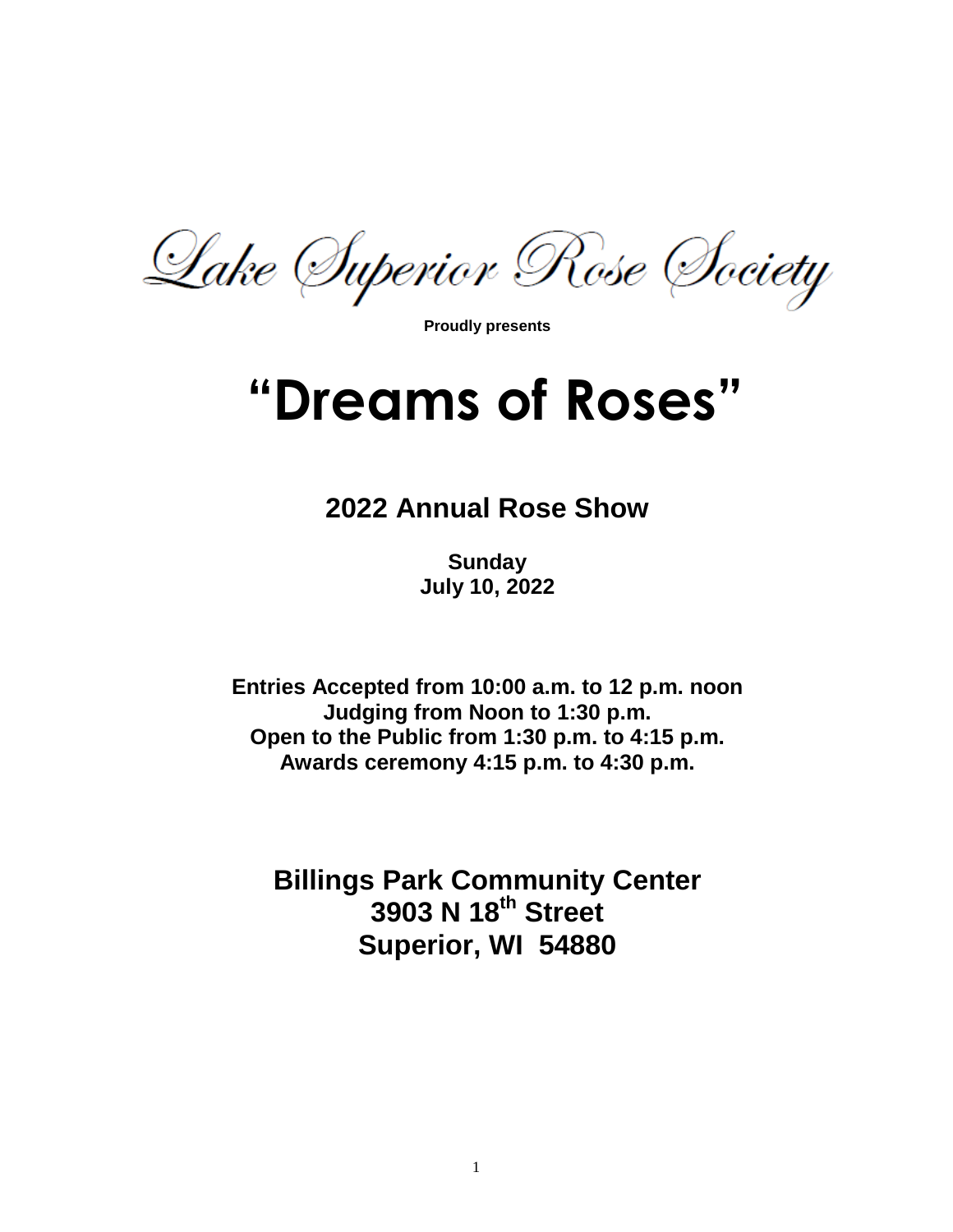Lake (Iuperior Rose (Iociety

**Proudly presents** 

# **"Dreams of Roses"**

# **2022 Annual Rose Show**

**Sunday July 10, 2022**

**Entries Accepted from 10:00 a.m. to 12 p.m. noon Judging from Noon to 1:30 p.m. Open to the Public from 1:30 p.m. to 4:15 p.m. Awards ceremony 4:15 p.m. to 4:30 p.m.**

**Billings Park Community Center 3903 N 18th Street Superior, WI 54880**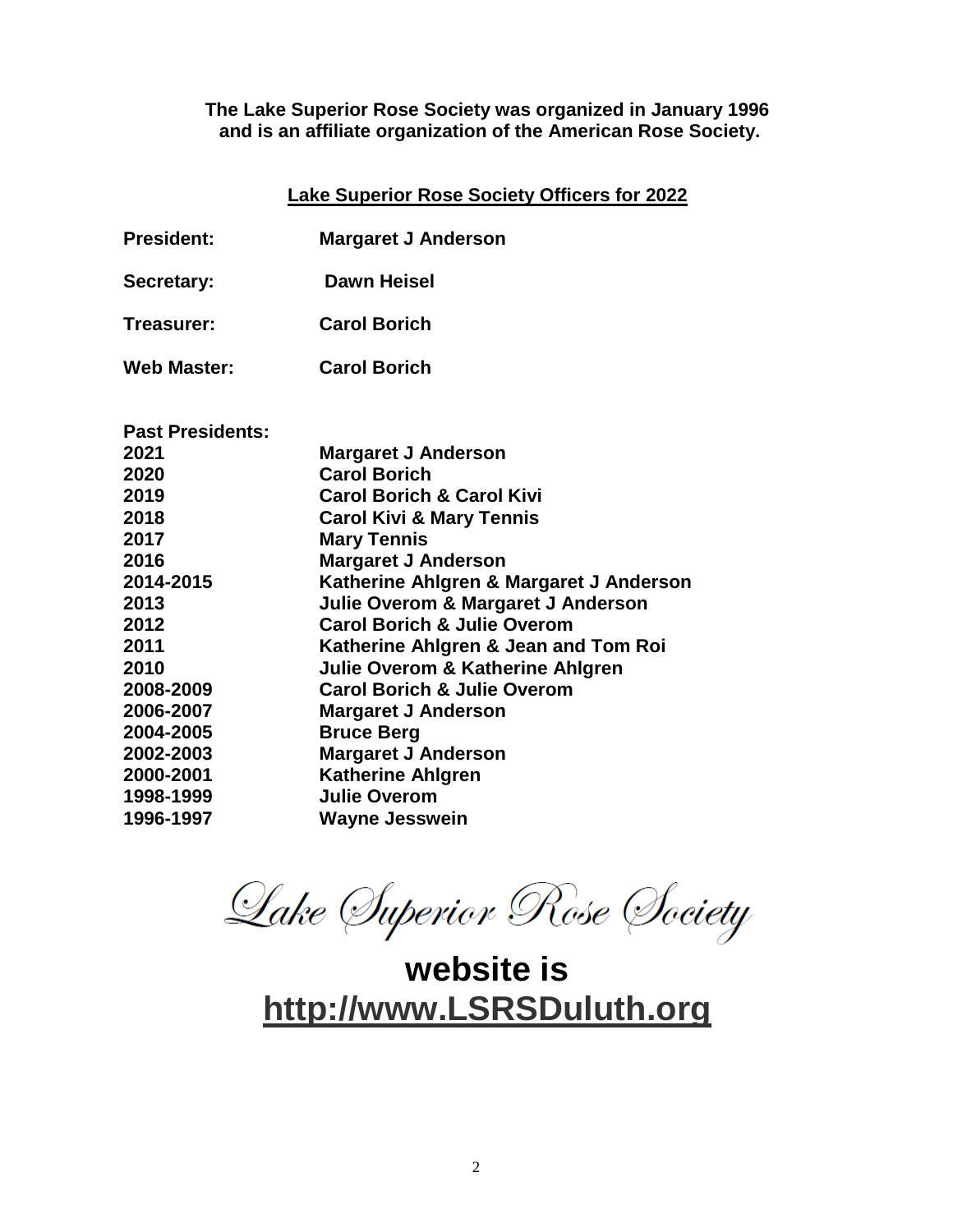#### **The Lake Superior Rose Society was organized in January 1996 and is an affiliate organization of the American Rose Society.**

#### **Lake Superior Rose Society Officers for 2022**

- **President: Margaret J Anderson**
- **Secretary: Dawn Heisel**
- **Treasurer: Carol Borich**
- **Web Master: Carol Borich**

| <b>Past Presidents:</b> |                                             |
|-------------------------|---------------------------------------------|
| 2021                    | <b>Margaret J Anderson</b>                  |
| 2020                    | <b>Carol Borich</b>                         |
| 2019                    | <b>Carol Borich &amp; Carol Kivi</b>        |
| 2018                    | <b>Carol Kivi &amp; Mary Tennis</b>         |
| 2017                    | <b>Mary Tennis</b>                          |
| 2016                    | <b>Margaret J Anderson</b>                  |
| 2014-2015               | Katherine Ahlgren & Margaret J Anderson     |
| 2013                    | Julie Overom & Margaret J Anderson          |
| 2012                    | <b>Carol Borich &amp; Julie Overom</b>      |
| 2011                    | Katherine Ahlgren & Jean and Tom Roi        |
| 2010                    | <b>Julie Overom &amp; Katherine Ahlgren</b> |
| 2008-2009               | <b>Carol Borich &amp; Julie Overom</b>      |
| 2006-2007               | <b>Margaret J Anderson</b>                  |
| 2004-2005               | <b>Bruce Berg</b>                           |
| 2002-2003               | <b>Margaret J Anderson</b>                  |
| 2000-2001               | <b>Katherine Ahlgren</b>                    |
| 1998-1999               | <b>Julie Overom</b>                         |
| 1996-1997               | <b>Wayne Jesswein</b>                       |

Lake (Iuperior Rose (Iociety

**website is [http://www.LSRSDuluth.org](http://www.lsrsduluth.org/)**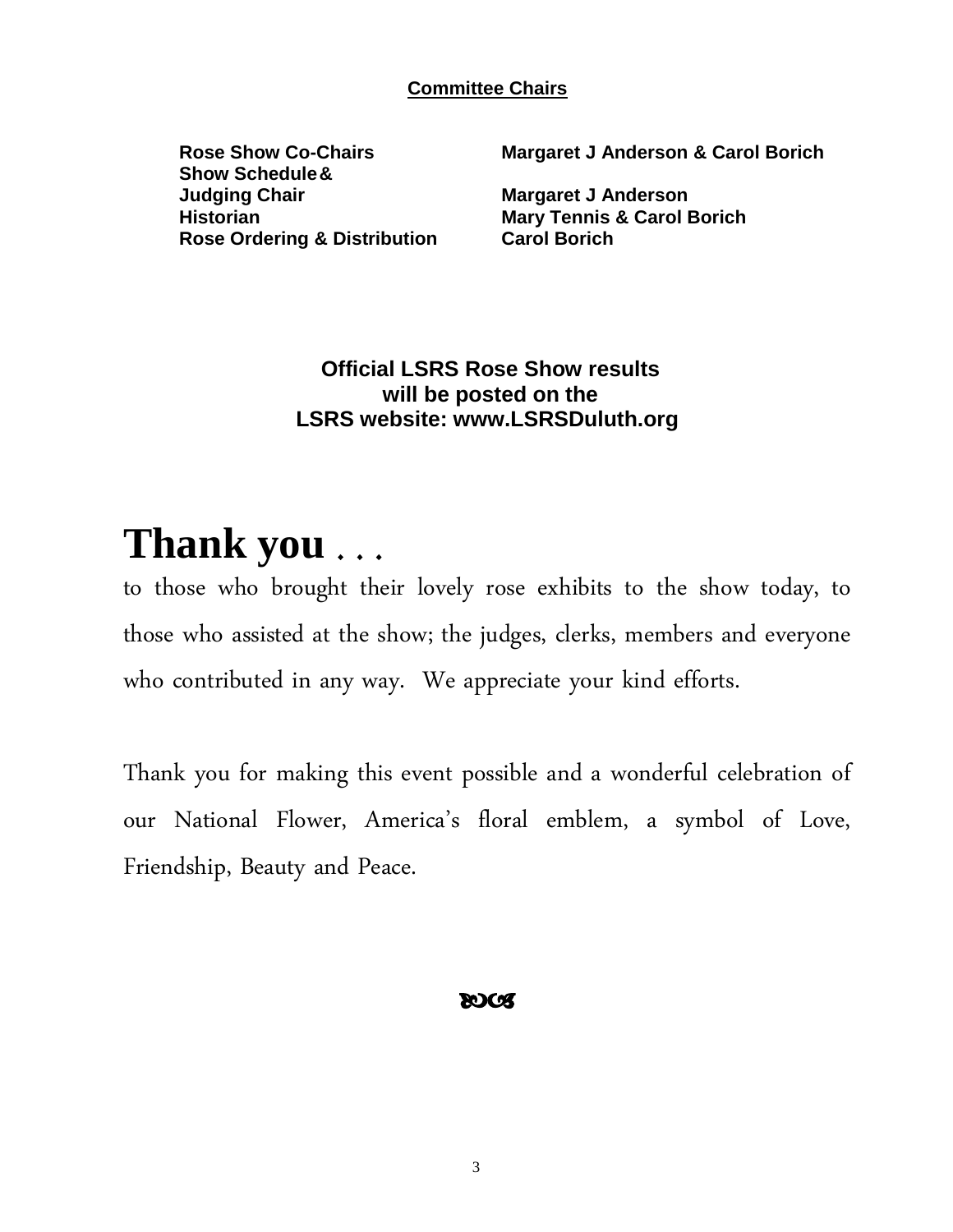**Committee Chairs**

**Show Schedule& Judging Chair Margaret J Anderson Historian Mary Tennis & Carol Borich Rose Ordering & Distribution Carol Borich**

**Rose Show Co-Chairs Margaret J Anderson & Carol Borich**

## **Official LSRS Rose Show results will be posted on the LSRS website: www.LSRSDuluth.org**

# **Thank you** . . .

to those who brought their lovely rose exhibits to the show today, to those who assisted at the show; the judges, clerks, members and everyone who contributed in any way. We appreciate your kind efforts.

Thank you for making this event possible and a wonderful celebration of our National Flower, America's floral emblem, a symbol of Love, Friendship, Beauty and Peace.

## **ROCS**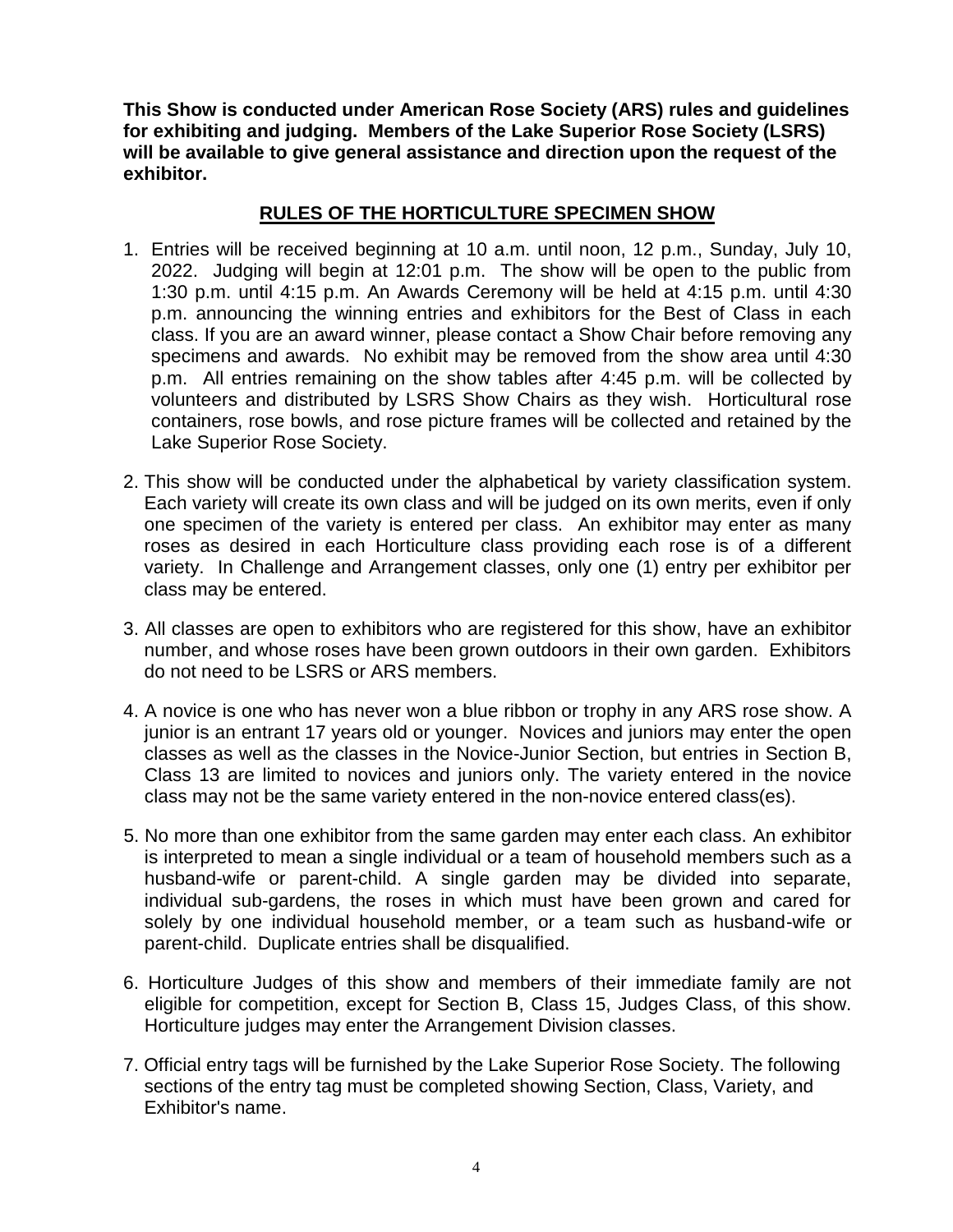**This Show is conducted under American Rose Society (ARS) rules and guidelines for exhibiting and judging. Members of the Lake Superior Rose Society (LSRS) will be available to give general assistance and direction upon the request of the exhibitor.**

#### **RULES OF THE HORTICULTURE SPECIMEN SHOW**

- 1. Entries will be received beginning at 10 a.m. until noon, 12 p.m., Sunday, July 10, 2022. Judging will begin at 12:01 p.m. The show will be open to the public from 1:30 p.m. until 4:15 p.m. An Awards Ceremony will be held at 4:15 p.m. until 4:30 p.m. announcing the winning entries and exhibitors for the Best of Class in each class. If you are an award winner, please contact a Show Chair before removing any specimens and awards. No exhibit may be removed from the show area until 4:30 p.m. All entries remaining on the show tables after 4:45 p.m. will be collected by volunteers and distributed by LSRS Show Chairs as they wish. Horticultural rose containers, rose bowls, and rose picture frames will be collected and retained by the Lake Superior Rose Society.
- 2. This show will be conducted under the alphabetical by variety classification system. Each variety will create its own class and will be judged on its own merits, even if only one specimen of the variety is entered per class. An exhibitor may enter as many roses as desired in each Horticulture class providing each rose is of a different variety. In Challenge and Arrangement classes, only one (1) entry per exhibitor per class may be entered.
- 3. All classes are open to exhibitors who are registered for this show, have an exhibitor number, and whose roses have been grown outdoors in their own garden. Exhibitors do not need to be LSRS or ARS members.
- 4. A novice is one who has never won a blue ribbon or trophy in any ARS rose show. A junior is an entrant 17 years old or younger. Novices and juniors may enter the open classes as well as the classes in the Novice-Junior Section, but entries in Section B, Class 13 are limited to novices and juniors only. The variety entered in the novice class may not be the same variety entered in the non-novice entered class(es).
- 5. No more than one exhibitor from the same garden may enter each class. An exhibitor is interpreted to mean a single individual or a team of household members such as a husband-wife or parent-child. A single garden may be divided into separate, individual sub-gardens, the roses in which must have been grown and cared for solely by one individual household member, or a team such as husband-wife or parent-child. Duplicate entries shall be disqualified.
- 6. Horticulture Judges of this show and members of their immediate family are not eligible for competition, except for Section B, Class 15, Judges Class, of this show. Horticulture judges may enter the Arrangement Division classes.
- 7. Official entry tags will be furnished by the Lake Superior Rose Society. The following sections of the entry tag must be completed showing Section, Class, Variety, and Exhibitor's name.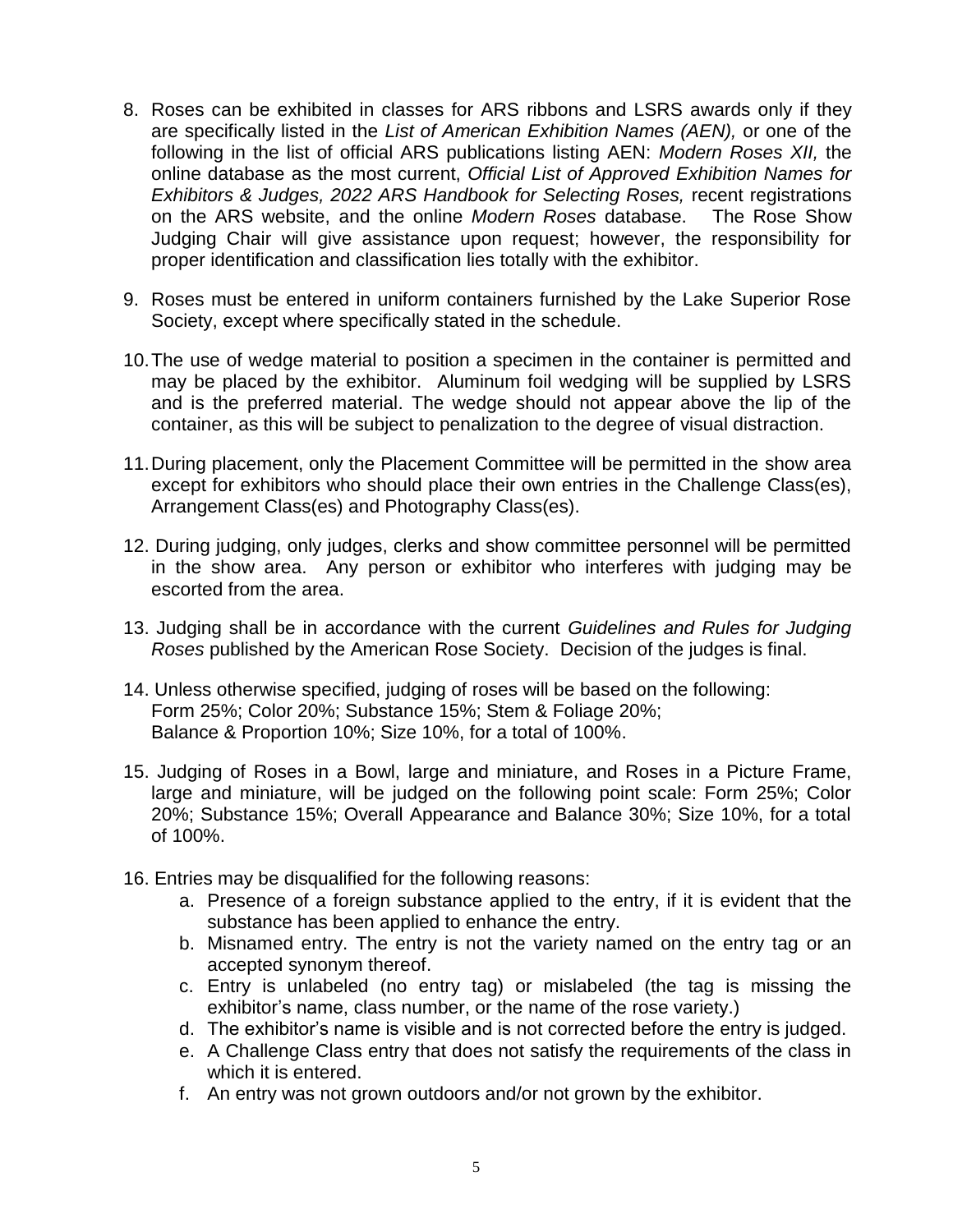- 8. Roses can be exhibited in classes for ARS ribbons and LSRS awards only if they are specifically listed in the *List of American Exhibition Names (AEN),* or one of the following in the list of official ARS publications listing AEN: *Modern Roses XII,* the online database as the most current, *Official List of Approved Exhibition Names for Exhibitors & Judges, 2022 ARS Handbook for Selecting Roses,* recent registrations on the ARS website, and the online *Modern Roses* database. The Rose Show Judging Chair will give assistance upon request; however, the responsibility for proper identification and classification lies totally with the exhibitor.
- 9. Roses must be entered in uniform containers furnished by the Lake Superior Rose Society, except where specifically stated in the schedule.
- 10.The use of wedge material to position a specimen in the container is permitted and may be placed by the exhibitor. Aluminum foil wedging will be supplied by LSRS and is the preferred material. The wedge should not appear above the lip of the container, as this will be subject to penalization to the degree of visual distraction.
- 11.During placement, only the Placement Committee will be permitted in the show area except for exhibitors who should place their own entries in the Challenge Class(es), Arrangement Class(es) and Photography Class(es).
- 12. During judging, only judges, clerks and show committee personnel will be permitted in the show area. Any person or exhibitor who interferes with judging may be escorted from the area.
- 13. Judging shall be in accordance with the current *Guidelines and Rules for Judging Roses* published by the American Rose Society. Decision of the judges is final.
- 14. Unless otherwise specified, judging of roses will be based on the following: Form 25%; Color 20%; Substance 15%; Stem & Foliage 20%; Balance & Proportion 10%; Size 10%, for a total of 100%.
- 15. Judging of Roses in a Bowl, large and miniature, and Roses in a Picture Frame, large and miniature, will be judged on the following point scale: Form 25%; Color 20%; Substance 15%; Overall Appearance and Balance 30%; Size 10%, for a total of 100%.
- 16. Entries may be disqualified for the following reasons:
	- a. Presence of a foreign substance applied to the entry, if it is evident that the substance has been applied to enhance the entry.
	- b. Misnamed entry. The entry is not the variety named on the entry tag or an accepted synonym thereof.
	- c. Entry is unlabeled (no entry tag) or mislabeled (the tag is missing the exhibitor's name, class number, or the name of the rose variety.)
	- d. The exhibitor's name is visible and is not corrected before the entry is judged.
	- e. A Challenge Class entry that does not satisfy the requirements of the class in which it is entered.
	- f. An entry was not grown outdoors and/or not grown by the exhibitor.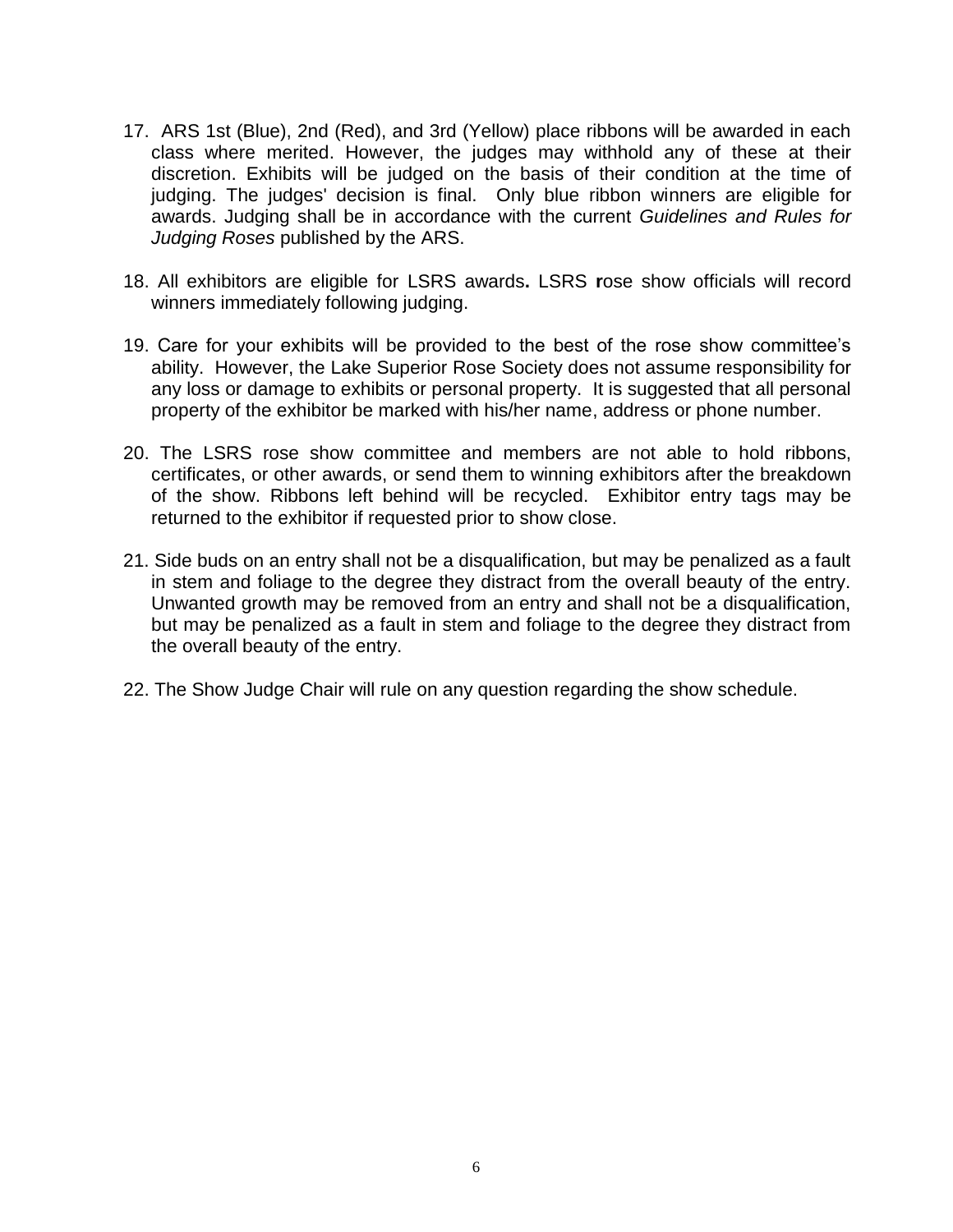- 17. ARS 1st (Blue), 2nd (Red), and 3rd (Yellow) place ribbons will be awarded in each class where merited. However, the judges may withhold any of these at their discretion. Exhibits will be judged on the basis of their condition at the time of judging. The judges' decision is final. Only blue ribbon winners are eligible for awards. Judging shall be in accordance with the current *Guidelines and Rules for Judging Roses* published by the ARS.
- 18. All exhibitors are eligible for LSRS awards**.** LSRS **r**ose show officials will record winners immediately following judging.
- 19. Care for your exhibits will be provided to the best of the rose show committee's ability. However, the Lake Superior Rose Society does not assume responsibility for any loss or damage to exhibits or personal property. It is suggested that all personal property of the exhibitor be marked with his/her name, address or phone number.
- 20. The LSRS rose show committee and members are not able to hold ribbons, certificates, or other awards, or send them to winning exhibitors after the breakdown of the show. Ribbons left behind will be recycled. Exhibitor entry tags may be returned to the exhibitor if requested prior to show close.
- 21. Side buds on an entry shall not be a disqualification, but may be penalized as a fault in stem and foliage to the degree they distract from the overall beauty of the entry. Unwanted growth may be removed from an entry and shall not be a disqualification, but may be penalized as a fault in stem and foliage to the degree they distract from the overall beauty of the entry.
- 22. The Show Judge Chair will rule on any question regarding the show schedule.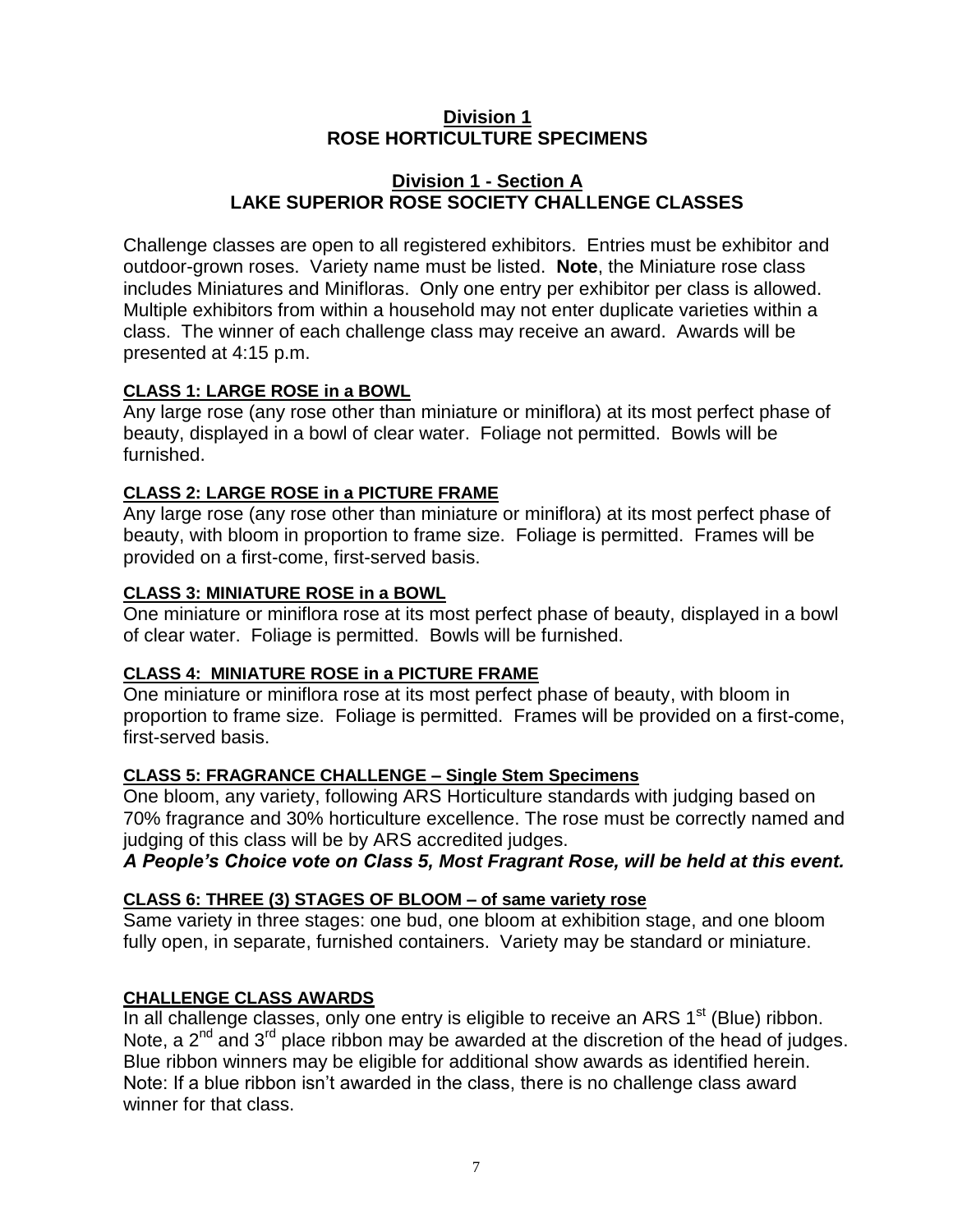#### **Division 1 ROSE HORTICULTURE SPECIMENS**

#### **Division 1 - Section A LAKE SUPERIOR ROSE SOCIETY CHALLENGE CLASSES**

Challenge classes are open to all registered exhibitors. Entries must be exhibitor and outdoor-grown roses. Variety name must be listed. **Note**, the Miniature rose class includes Miniatures and Minifloras. Only one entry per exhibitor per class is allowed. Multiple exhibitors from within a household may not enter duplicate varieties within a class. The winner of each challenge class may receive an award. Awards will be presented at 4:15 p.m.

#### **CLASS 1: LARGE ROSE in a BOWL**

Any large rose (any rose other than miniature or miniflora) at its most perfect phase of beauty, displayed in a bowl of clear water. Foliage not permitted. Bowls will be furnished.

#### **CLASS 2: LARGE ROSE in a PICTURE FRAME**

Any large rose (any rose other than miniature or miniflora) at its most perfect phase of beauty, with bloom in proportion to frame size. Foliage is permitted. Frames will be provided on a first-come, first-served basis.

#### **CLASS 3: MINIATURE ROSE in a BOWL**

One miniature or miniflora rose at its most perfect phase of beauty, displayed in a bowl of clear water. Foliage is permitted. Bowls will be furnished.

#### **CLASS 4: MINIATURE ROSE in a PICTURE FRAME**

One miniature or miniflora rose at its most perfect phase of beauty, with bloom in proportion to frame size. Foliage is permitted. Frames will be provided on a first-come, first-served basis.

#### **CLASS 5: FRAGRANCE CHALLENGE – Single Stem Specimens**

One bloom, any variety, following ARS Horticulture standards with judging based on 70% fragrance and 30% horticulture excellence. The rose must be correctly named and judging of this class will be by ARS accredited judges.

#### *A People's Choice vote on Class 5, Most Fragrant Rose, will be held at this event.*

#### **CLASS 6: THREE (3) STAGES OF BLOOM – of same variety rose**

Same variety in three stages: one bud, one bloom at exhibition stage, and one bloom fully open, in separate, furnished containers. Variety may be standard or miniature.

#### **CHALLENGE CLASS AWARDS**

In all challenge classes, only one entry is eligible to receive an ARS  $1<sup>st</sup>$  (Blue) ribbon. Note, a  $2^{nd}$  and  $3^{rd}$  place ribbon may be awarded at the discretion of the head of judges. Blue ribbon winners may be eligible for additional show awards as identified herein. Note: If a blue ribbon isn't awarded in the class, there is no challenge class award winner for that class.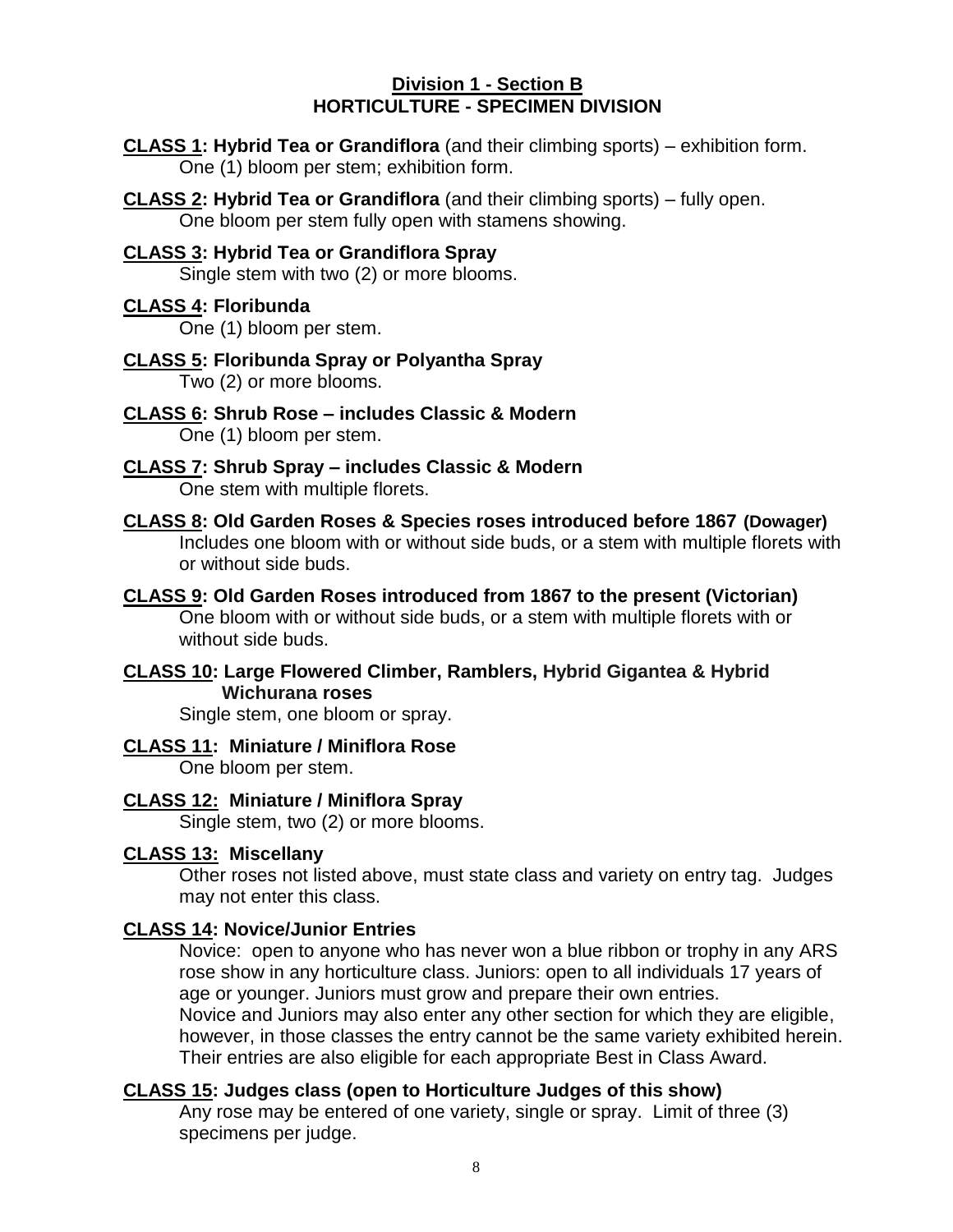#### **Division 1 - Section B HORTICULTURE - SPECIMEN DIVISION**

**CLASS 1: Hybrid Tea or Grandiflora** (and their climbing sports) – exhibition form. One (1) bloom per stem; exhibition form.

**CLASS 2: Hybrid Tea or Grandiflora** (and their climbing sports) – fully open. One bloom per stem fully open with stamens showing.

## **CLASS 3: Hybrid Tea or Grandiflora Spray**

Single stem with two (2) or more blooms.

#### **CLASS 4: Floribunda**

One (1) bloom per stem.

- **CLASS 5: Floribunda Spray or Polyantha Spray** Two (2) or more blooms.
- **CLASS 6: Shrub Rose – includes Classic & Modern** One (1) bloom per stem.
- **CLASS 7: Shrub Spray – includes Classic & Modern** One stem with multiple florets.
- **CLASS 8: Old Garden Roses & Species roses introduced before 1867 (Dowager)** Includes one bloom with or without side buds, or a stem with multiple florets with or without side buds.
- **CLASS 9: Old Garden Roses introduced from 1867 to the present (Victorian)**  One bloom with or without side buds, or a stem with multiple florets with or without side buds.
- **CLASS 10: Large Flowered Climber, Ramblers, Hybrid Gigantea & Hybrid Wichurana roses**

Single stem, one bloom or spray.

#### **CLASS 11: Miniature / Miniflora Rose**

One bloom per stem.

#### **CLASS 12: Miniature / Miniflora Spray**

Single stem, two (2) or more blooms.

#### **CLASS 13: Miscellany**

Other roses not listed above, must state class and variety on entry tag. Judges may not enter this class.

#### **CLASS 14: Novice/Junior Entries**

Novice: open to anyone who has never won a blue ribbon or trophy in any ARS rose show in any horticulture class. Juniors: open to all individuals 17 years of age or younger. Juniors must grow and prepare their own entries. Novice and Juniors may also enter any other section for which they are eligible, however, in those classes the entry cannot be the same variety exhibited herein. Their entries are also eligible for each appropriate Best in Class Award.

#### **CLASS 15: Judges class (open to Horticulture Judges of this show)**

Any rose may be entered of one variety, single or spray. Limit of three (3) specimens per judge.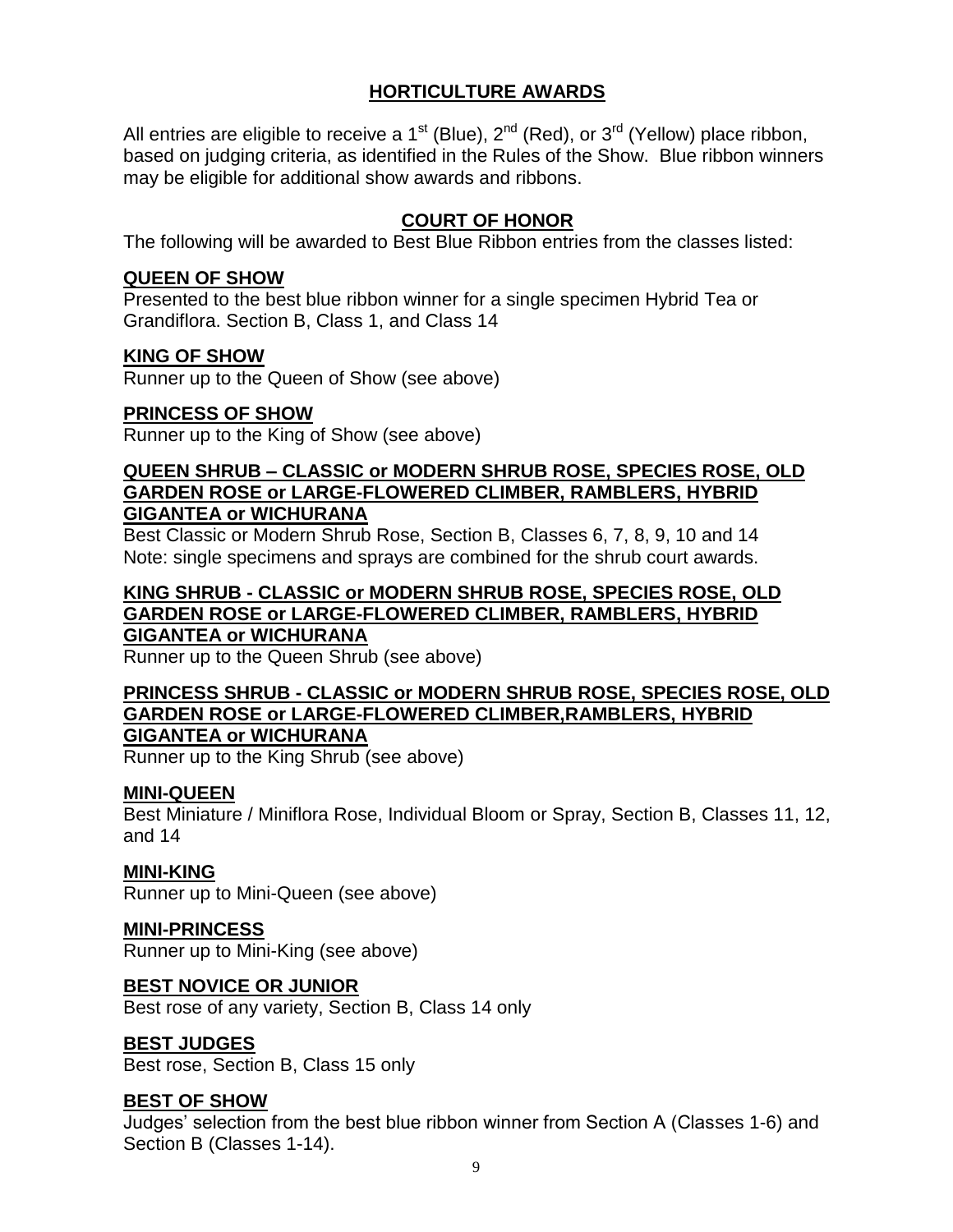#### **HORTICULTURE AWARDS**

All entries are eligible to receive a 1<sup>st</sup> (Blue),  $2^{nd}$  (Red), or 3<sup>rd</sup> (Yellow) place ribbon, based on judging criteria, as identified in the Rules of the Show. Blue ribbon winners may be eligible for additional show awards and ribbons.

#### **COURT OF HONOR**

The following will be awarded to Best Blue Ribbon entries from the classes listed:

#### **QUEEN OF SHOW**

Presented to the best blue ribbon winner for a single specimen Hybrid Tea or Grandiflora. Section B, Class 1, and Class 14

#### **KING OF SHOW**

Runner up to the Queen of Show (see above)

#### **PRINCESS OF SHOW**

Runner up to the King of Show (see above)

#### **QUEEN SHRUB – CLASSIC or MODERN SHRUB ROSE, SPECIES ROSE, OLD GARDEN ROSE or LARGE-FLOWERED CLIMBER, RAMBLERS, HYBRID GIGANTEA or WICHURANA**

Best Classic or Modern Shrub Rose, Section B, Classes 6, 7, 8, 9, 10 and 14 Note: single specimens and sprays are combined for the shrub court awards.

#### **KING SHRUB - CLASSIC or MODERN SHRUB ROSE, SPECIES ROSE, OLD GARDEN ROSE or LARGE-FLOWERED CLIMBER, RAMBLERS, HYBRID GIGANTEA or WICHURANA**

Runner up to the Queen Shrub (see above)

#### **PRINCESS SHRUB - CLASSIC or MODERN SHRUB ROSE, SPECIES ROSE, OLD GARDEN ROSE or LARGE-FLOWERED CLIMBER,RAMBLERS, HYBRID GIGANTEA or WICHURANA**

Runner up to the King Shrub (see above)

#### **MINI-QUEEN**

Best Miniature / Miniflora Rose, Individual Bloom or Spray, Section B, Classes 11, 12, and 14

#### **MINI-KING**

Runner up to Mini-Queen (see above)

#### **MINI-PRINCESS**

Runner up to Mini-King (see above)

#### **BEST NOVICE OR JUNIOR**

Best rose of any variety, Section B, Class 14 only

#### **BEST JUDGES**

Best rose, Section B, Class 15 only

#### **BEST OF SHOW**

Judges' selection from the best blue ribbon winner from Section A (Classes 1-6) and Section B (Classes 1-14).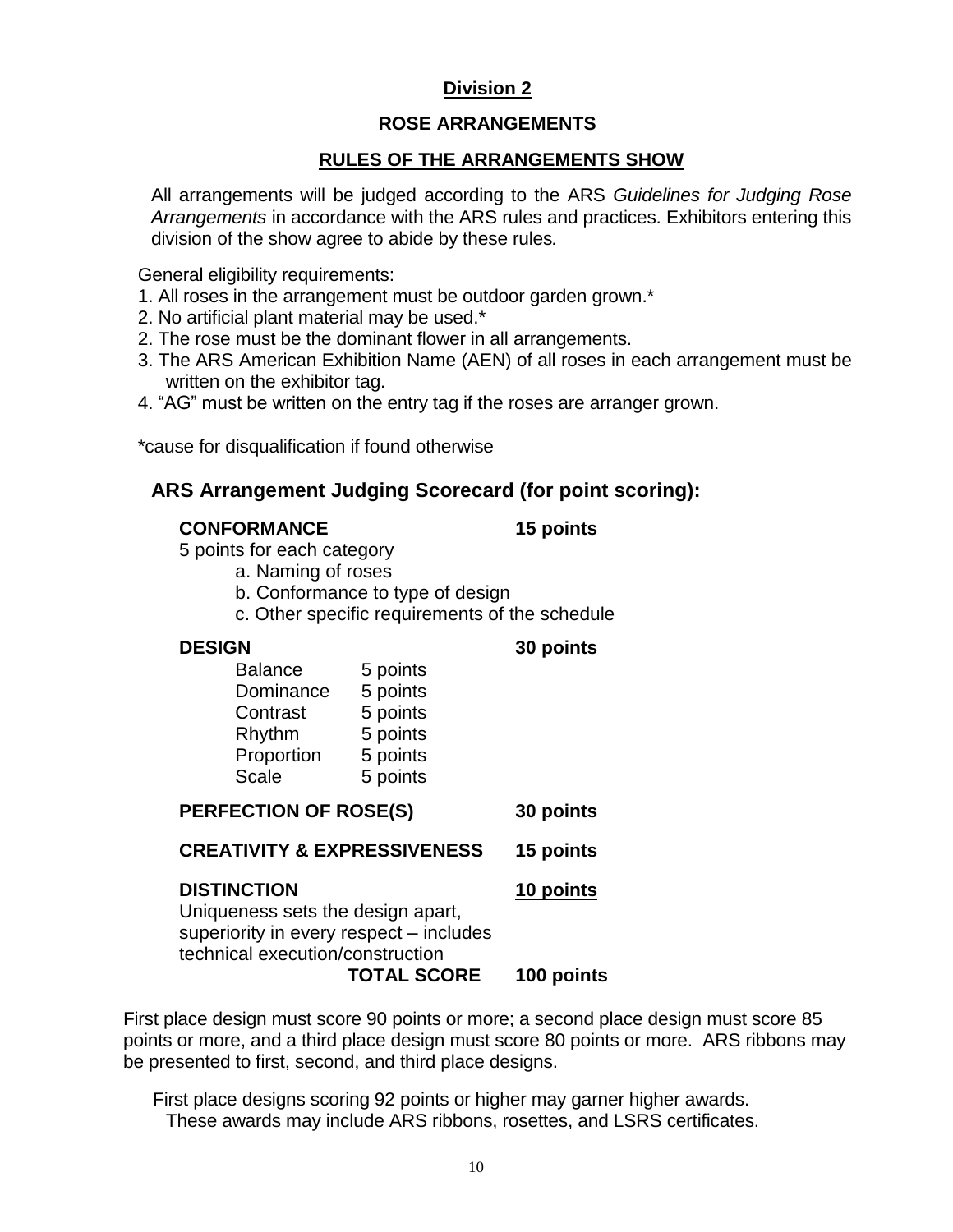### **Division 2**

#### **ROSE ARRANGEMENTS**

#### **RULES OF THE ARRANGEMENTS SHOW**

All arrangements will be judged according to the ARS *Guidelines for Judging Rose Arrangements* in accordance with the ARS rules and practices. Exhibitors entering this division of the show agree to abide by these rules*.*

General eligibility requirements:

- 1. All roses in the arrangement must be outdoor garden grown.\*
- 2. No artificial plant material may be used.\*
- 2. The rose must be the dominant flower in all arrangements.
- 3. The ARS American Exhibition Name (AEN) of all roses in each arrangement must be written on the exhibitor tag.
- 4. "AG" must be written on the entry tag if the roses are arranger grown.

\*cause for disqualification if found otherwise

### **ARS Arrangement Judging Scorecard (for point scoring):**

#### **CONFORMANCE 15 points**

5 points for each category

- a. Naming of roses
- b. Conformance to type of design
- c. Other specific requirements of the schedule

#### **DESIGN 30 points**

| 5 points |
|----------|
| 5 points |
| 5 points |
| 5 points |
| 5 points |
| 5 points |
|          |

| PERFECTION OF ROSE(S)                                                                                                                                        | 30 points               |
|--------------------------------------------------------------------------------------------------------------------------------------------------------------|-------------------------|
| <b>CREATIVITY &amp; EXPRESSIVENESS</b>                                                                                                                       | 15 points               |
| <b>DISTINCTION</b><br>Uniqueness sets the design apart,<br>superiority in every respect - includes<br>technical execution/construction<br><b>TOTAL SCORE</b> | 10 points<br>100 points |

First place design must score 90 points or more; a second place design must score 85 points or more, and a third place design must score 80 points or more. ARS ribbons may be presented to first, second, and third place designs.

 First place designs scoring 92 points or higher may garner higher awards. These awards may include ARS ribbons, rosettes, and LSRS certificates.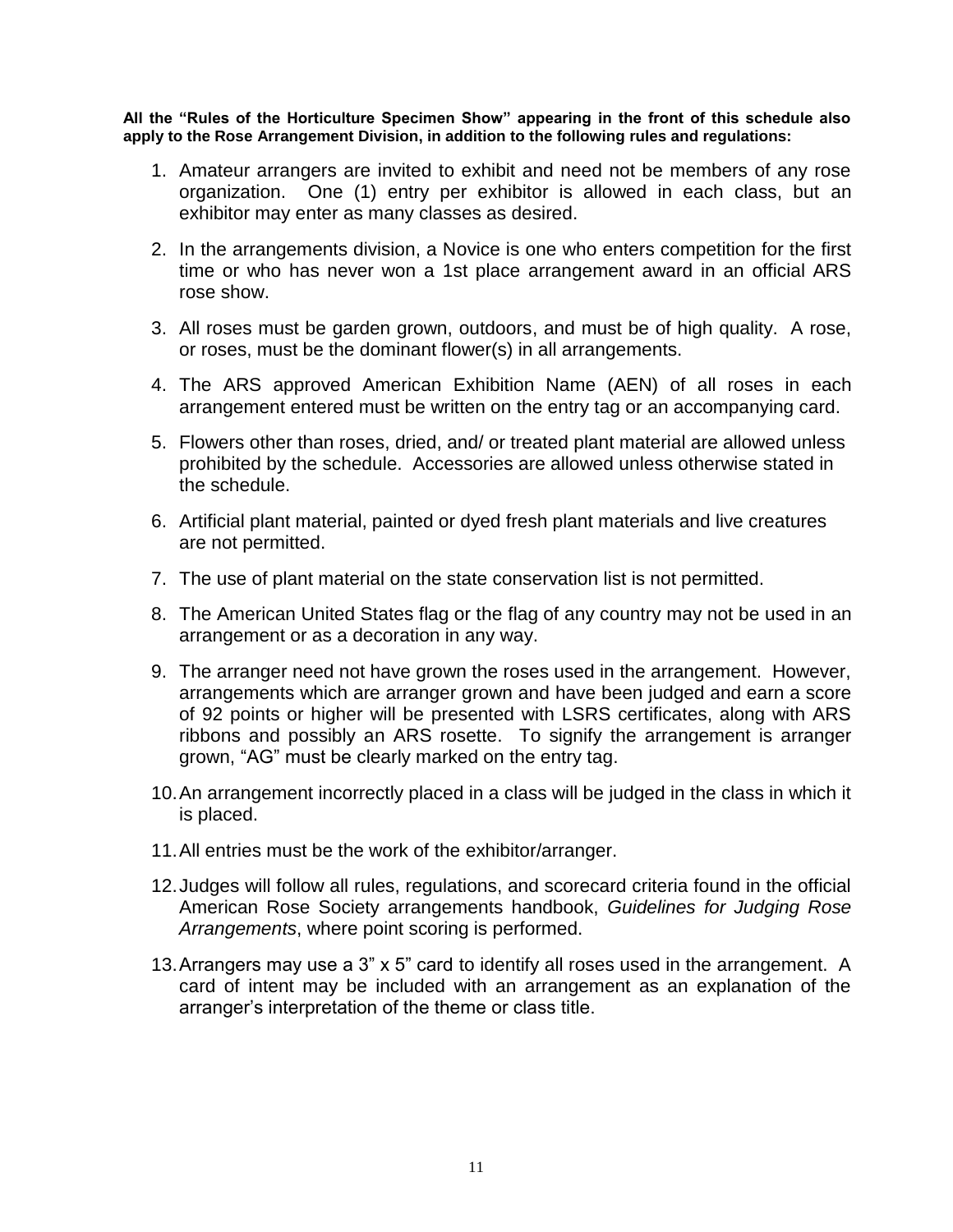**All the "Rules of the Horticulture Specimen Show" appearing in the front of this schedule also apply to the Rose Arrangement Division, in addition to the following rules and regulations:**

- 1. Amateur arrangers are invited to exhibit and need not be members of any rose organization. One (1) entry per exhibitor is allowed in each class, but an exhibitor may enter as many classes as desired.
- 2. In the arrangements division, a Novice is one who enters competition for the first time or who has never won a 1st place arrangement award in an official ARS rose show.
- 3. All roses must be garden grown, outdoors, and must be of high quality. A rose, or roses, must be the dominant flower(s) in all arrangements.
- 4. The ARS approved American Exhibition Name (AEN) of all roses in each arrangement entered must be written on the entry tag or an accompanying card.
- 5. Flowers other than roses, dried, and/ or treated plant material are allowed unless prohibited by the schedule. Accessories are allowed unless otherwise stated in the schedule.
- 6. Artificial plant material, painted or dyed fresh plant materials and live creatures are not permitted.
- 7. The use of plant material on the state conservation list is not permitted.
- 8. The American United States flag or the flag of any country may not be used in an arrangement or as a decoration in any way.
- 9. The arranger need not have grown the roses used in the arrangement. However, arrangements which are arranger grown and have been judged and earn a score of 92 points or higher will be presented with LSRS certificates, along with ARS ribbons and possibly an ARS rosette. To signify the arrangement is arranger grown, "AG" must be clearly marked on the entry tag.
- 10.An arrangement incorrectly placed in a class will be judged in the class in which it is placed.
- 11.All entries must be the work of the exhibitor/arranger.
- 12.Judges will follow all rules, regulations, and scorecard criteria found in the official American Rose Society arrangements handbook, *Guidelines for Judging Rose Arrangements*, where point scoring is performed.
- 13.Arrangers may use a 3" x 5" card to identify all roses used in the arrangement. A card of intent may be included with an arrangement as an explanation of the arranger's interpretation of the theme or class title.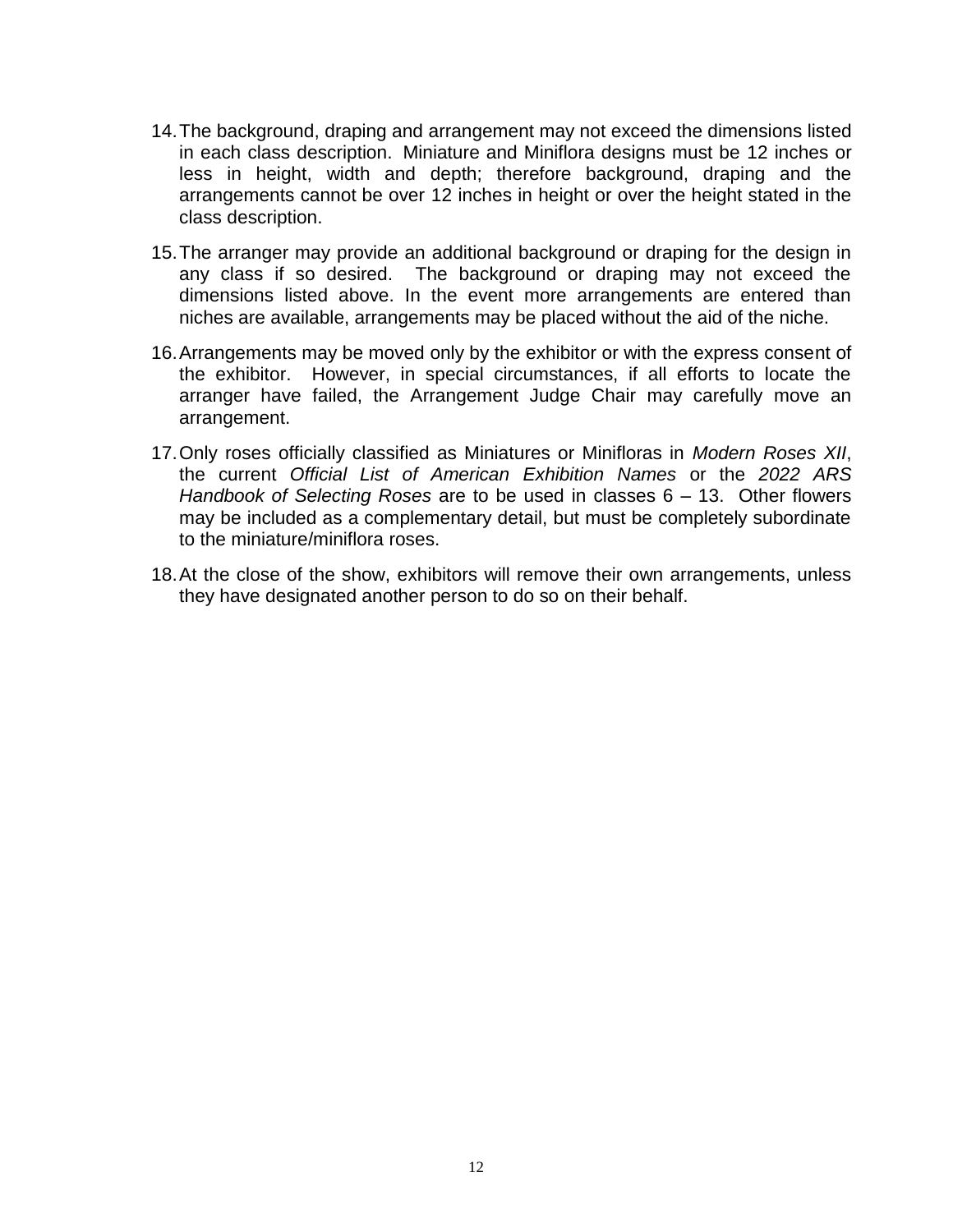- 14.The background, draping and arrangement may not exceed the dimensions listed in each class description. Miniature and Miniflora designs must be 12 inches or less in height, width and depth; therefore background, draping and the arrangements cannot be over 12 inches in height or over the height stated in the class description.
- 15.The arranger may provide an additional background or draping for the design in any class if so desired. The background or draping may not exceed the dimensions listed above. In the event more arrangements are entered than niches are available, arrangements may be placed without the aid of the niche.
- 16.Arrangements may be moved only by the exhibitor or with the express consent of the exhibitor. However, in special circumstances, if all efforts to locate the arranger have failed, the Arrangement Judge Chair may carefully move an arrangement.
- 17.Only roses officially classified as Miniatures or Minifloras in *Modern Roses XII*, the current *Official List of American Exhibition Names* or the *2022 ARS Handbook of Selecting Roses* are to be used in classes 6 – 13. Other flowers may be included as a complementary detail, but must be completely subordinate to the miniature/miniflora roses.
- 18.At the close of the show, exhibitors will remove their own arrangements, unless they have designated another person to do so on their behalf.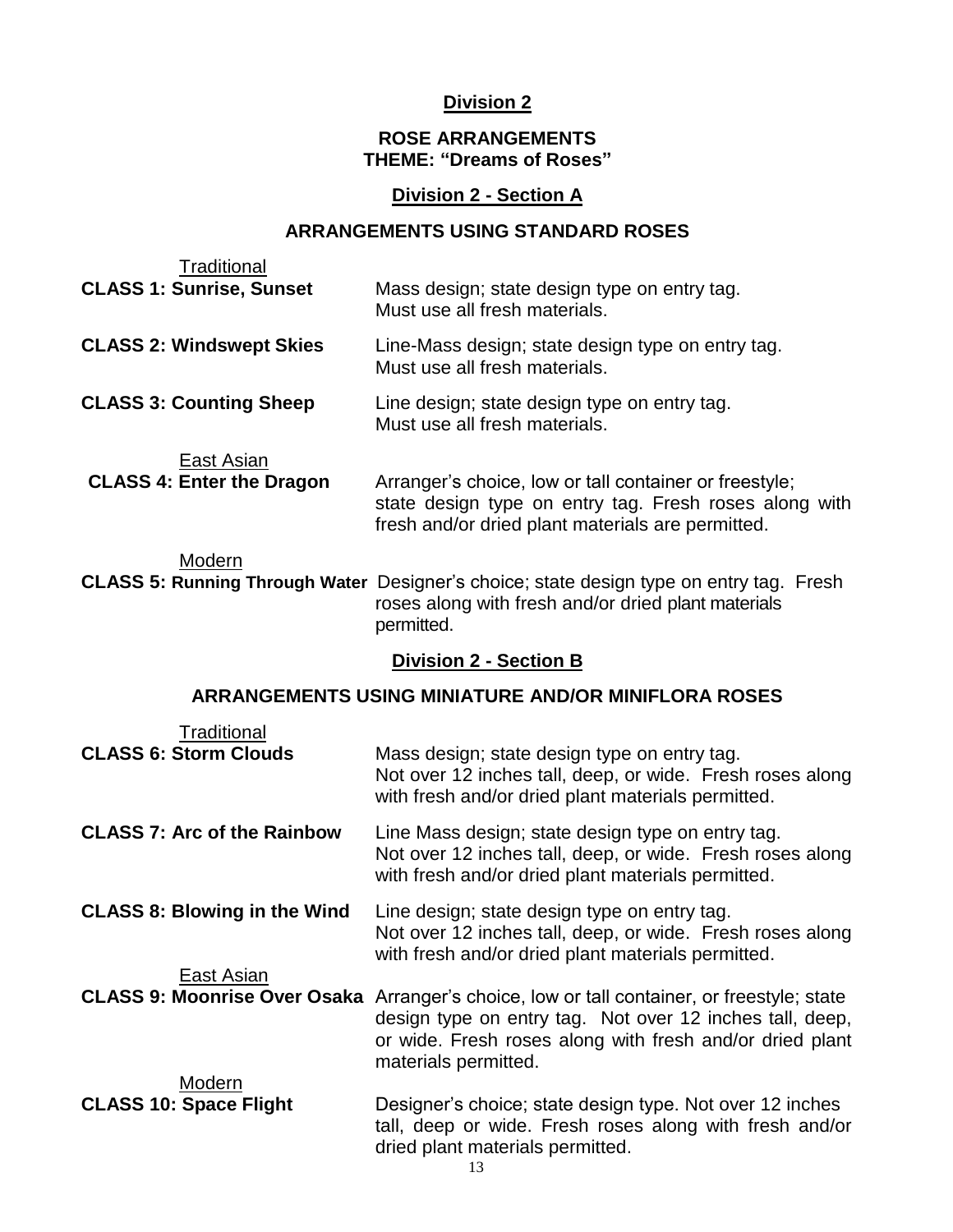#### **Division 2**

#### **ROSE ARRANGEMENTS THEME: "Dreams of Roses"**

#### **Division 2 - Section A**

#### **ARRANGEMENTS USING STANDARD ROSES**

| Traditional                                    |                                                                                                                                                                       |
|------------------------------------------------|-----------------------------------------------------------------------------------------------------------------------------------------------------------------------|
| <b>CLASS 1: Sunrise, Sunset</b>                | Mass design; state design type on entry tag.<br>Must use all fresh materials.                                                                                         |
| <b>CLASS 2: Windswept Skies</b>                | Line-Mass design; state design type on entry tag.<br>Must use all fresh materials.                                                                                    |
| <b>CLASS 3: Counting Sheep</b>                 | Line design; state design type on entry tag.<br>Must use all fresh materials.                                                                                         |
| East Asian<br><b>CLASS 4: Enter the Dragon</b> | Arranger's choice, low or tall container or freestyle;<br>state design type on entry tag. Fresh roses along with<br>fresh and/or dried plant materials are permitted. |
| Modern                                         | CLASS 5: Running Through Water Designer's choice; state design type on entry tag. Fresh<br>roses along with fresh and/or dried plant materials<br>permitted.          |
|                                                | <b>Division 2 - Section B</b>                                                                                                                                         |
|                                                | <b>ARRANGEMENTS USING MINIATURE AND/OR MINIFLORA ROSES</b>                                                                                                            |
| Traditional<br><b>CLASS 6: Storm Clouds</b>    | Mass design; state design type on entry tag.<br>Not over 12 inches tall, deep, or wide. Fresh roses along<br>with fresh and/or dried plant materials permitted.       |
| <b>CLASS 7: Arc of the Rainbow</b>             | Line Mass design; state design type on entry tag.<br>Not over 12 inches tall, deep, or wide. Fresh roses along<br>with fresh and/or dried plant materials permitted.  |
| <b>CLASS 8: Blowing in the Wind</b>            | Line design; state design type on entry tag.<br>Not over 12 inches tall, deep, or wide. Fresh roses along<br>with fresh and/or dried plant materials permitted.       |
| East Asian                                     | CLASS 9: Moonrise Over Osaka Arranger's choice, low or tall container, or freestyle; state<br>design type on entry tag. Not over 12 inches tall, deep,                |

|                                         | materials permitted.                                     |
|-----------------------------------------|----------------------------------------------------------|
| Modern<br><b>CLASS 10: Space Flight</b> | Designer's choice; state design type. Not over 12 inches |
|                                         | tall, deep or wide. Fresh roses along with fresh and/or  |
|                                         | dried plant materials permitted.                         |

or wide. Fresh roses along with fresh and/or dried plant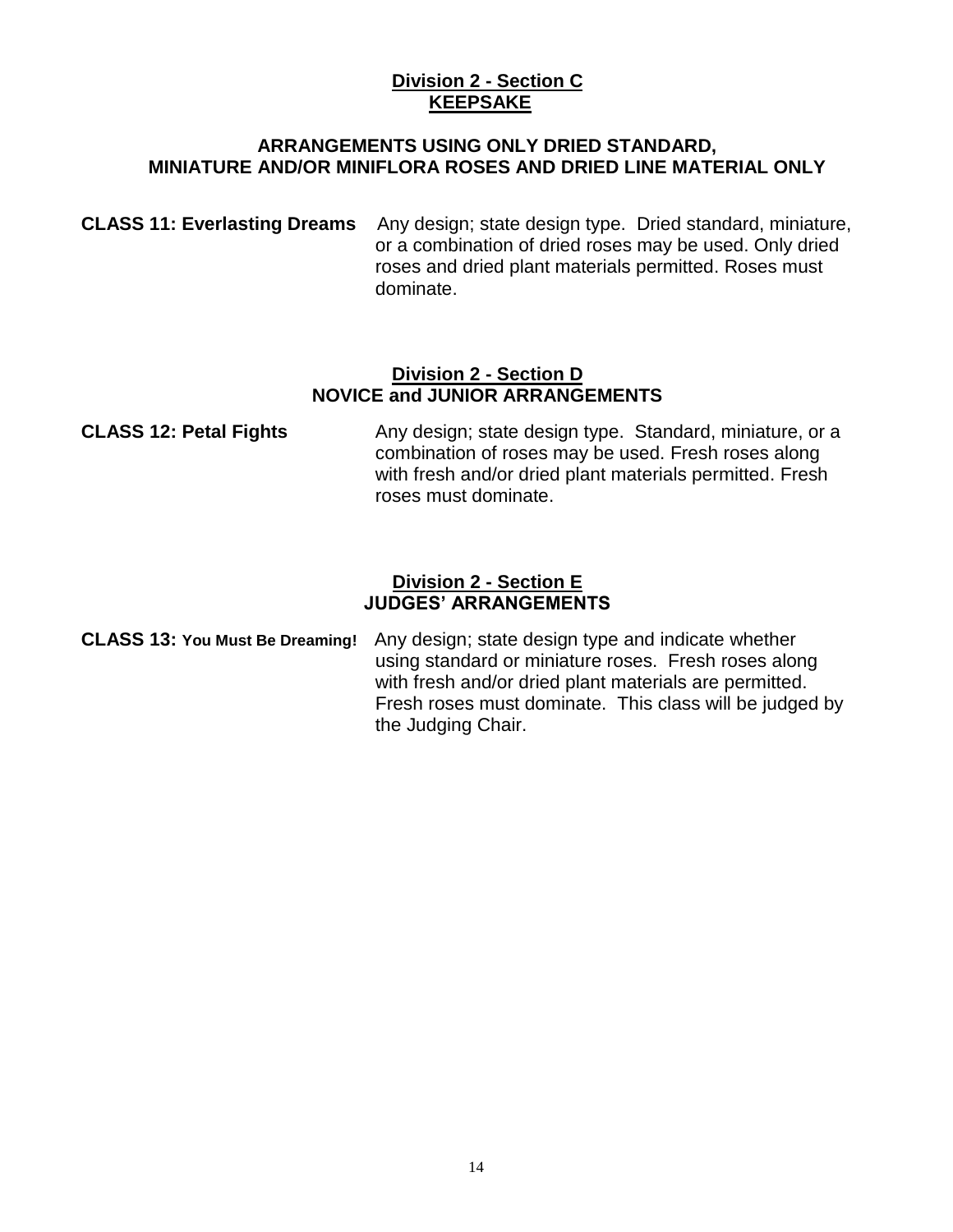#### **Division 2 - Section C KEEPSAKE**

#### **ARRANGEMENTS USING ONLY DRIED STANDARD, MINIATURE AND/OR MINIFLORA ROSES AND DRIED LINE MATERIAL ONLY**

**CLASS 11: Everlasting Dreams** Any design; state design type. Dried standard, miniature, or a combination of dried roses may be used. Only dried roses and dried plant materials permitted. Roses must dominate.

#### **Division 2 - Section D NOVICE and JUNIOR ARRANGEMENTS**

**CLASS 12: Petal Fights** Any design; state design type. Standard, miniature, or a combination of roses may be used. Fresh roses along with fresh and/or dried plant materials permitted. Fresh roses must dominate.

#### **Division 2 - Section E JUDGES' ARRANGEMENTS**

**CLASS 13: You Must Be Dreaming!** Any design; state design type and indicate whether using standard or miniature roses. Fresh roses along with fresh and/or dried plant materials are permitted. Fresh roses must dominate. This class will be judged by the Judging Chair.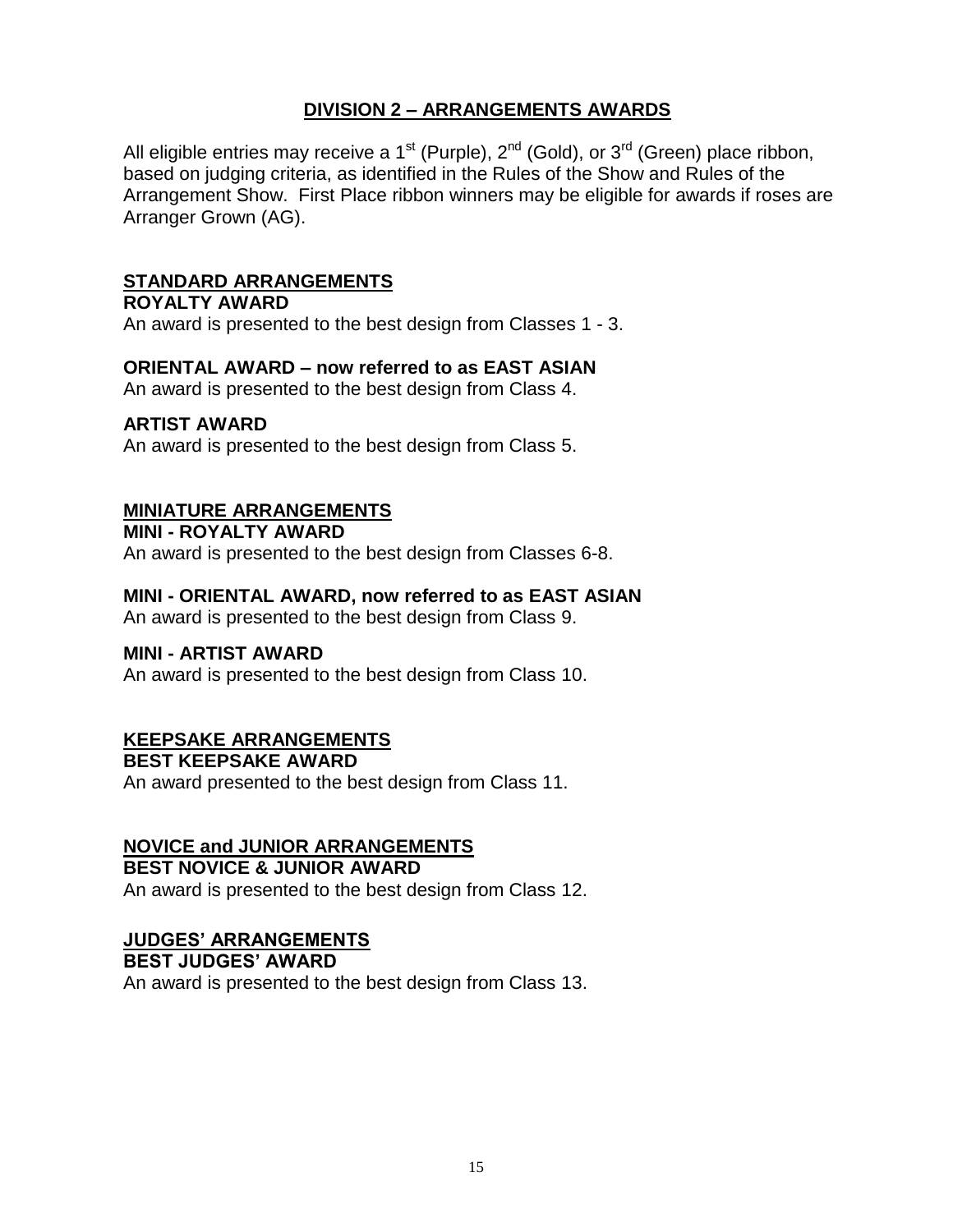### **DIVISION 2 – ARRANGEMENTS AWARDS**

All eligible entries may receive a 1<sup>st</sup> (Purple),  $2^{nd}$  (Gold), or  $3^{rd}$  (Green) place ribbon, based on judging criteria, as identified in the Rules of the Show and Rules of the Arrangement Show. First Place ribbon winners may be eligible for awards if roses are Arranger Grown (AG).

#### **STANDARD ARRANGEMENTS**

### **ROYALTY AWARD**

An award is presented to the best design from Classes 1 - 3.

#### **ORIENTAL AWARD – now referred to as EAST ASIAN**

An award is presented to the best design from Class 4.

#### **ARTIST AWARD**

An award is presented to the best design from Class 5.

#### **MINIATURE ARRANGEMENTS**

**MINI - ROYALTY AWARD** An award is presented to the best design from Classes 6-8.

#### **MINI - ORIENTAL AWARD, now referred to as EAST ASIAN**

An award is presented to the best design from Class 9.

#### **MINI - ARTIST AWARD**

An award is presented to the best design from Class 10.

#### **KEEPSAKE ARRANGEMENTS**

**BEST KEEPSAKE AWARD** An award presented to the best design from Class 11.

#### **NOVICE and JUNIOR ARRANGEMENTS BEST NOVICE & JUNIOR AWARD**

An award is presented to the best design from Class 12.

#### **JUDGES' ARRANGEMENTS**

**BEST JUDGES' AWARD**

An award is presented to the best design from Class 13.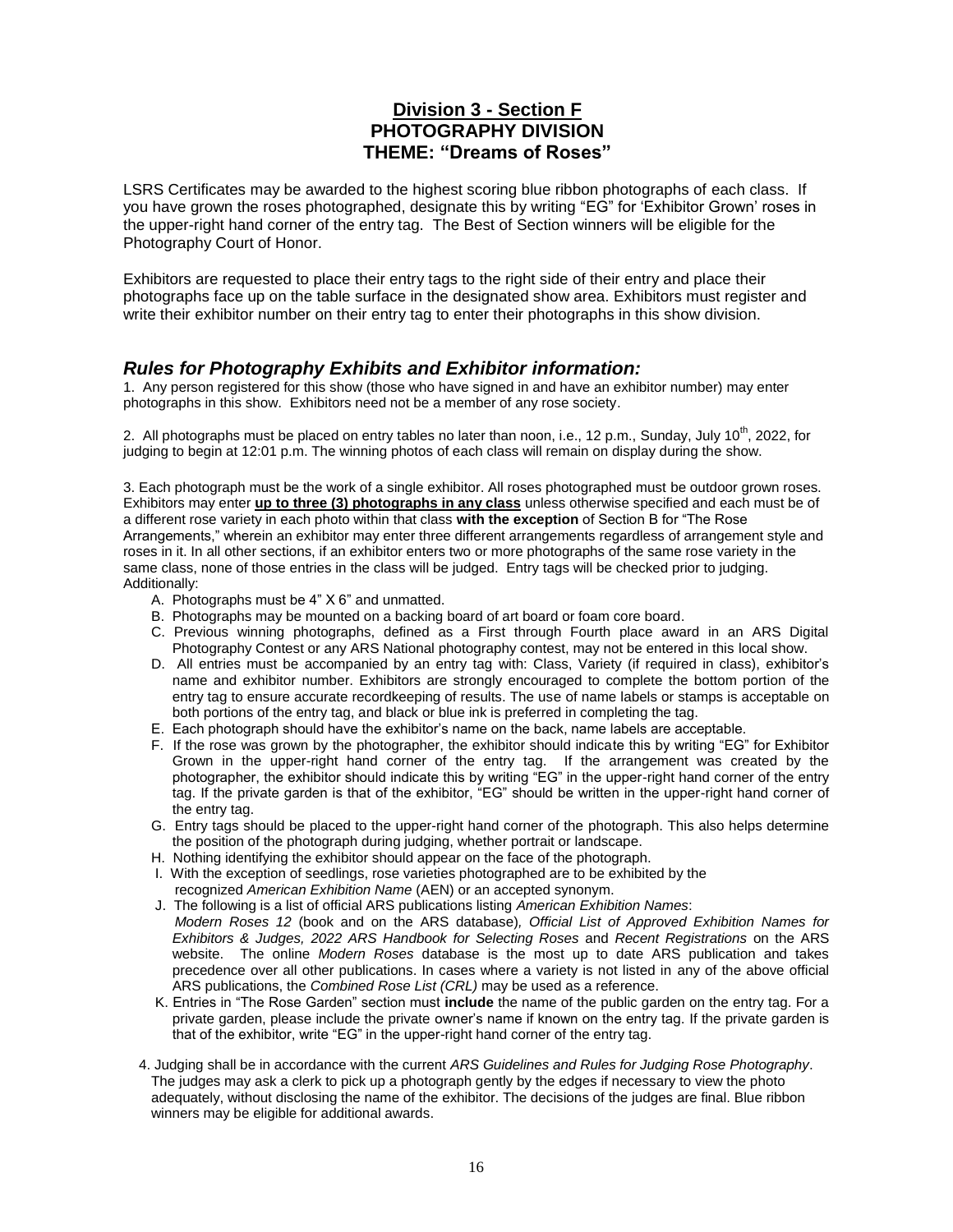#### **Division 3 - Section F PHOTOGRAPHY DIVISION THEME: "Dreams of Roses"**

LSRS Certificates may be awarded to the highest scoring blue ribbon photographs of each class. If you have grown the roses photographed, designate this by writing "EG" for 'Exhibitor Grown' roses in the upper-right hand corner of the entry tag. The Best of Section winners will be eligible for the Photography Court of Honor.

Exhibitors are requested to place their entry tags to the right side of their entry and place their photographs face up on the table surface in the designated show area. Exhibitors must register and write their exhibitor number on their entry tag to enter their photographs in this show division.

#### *Rules for Photography Exhibits and Exhibitor information:*

1. Any person registered for this show (those who have signed in and have an exhibitor number) may enter photographs in this show. Exhibitors need not be a member of any rose society.

2. All photographs must be placed on entry tables no later than noon, i.e., 12 p.m., Sunday, July 10<sup>th</sup>, 2022, for judging to begin at 12:01 p.m. The winning photos of each class will remain on display during the show.

3. Each photograph must be the work of a single exhibitor. All roses photographed must be outdoor grown roses. Exhibitors may enter **up to three (3) photographs in any class** unless otherwise specified and each must be of a different rose variety in each photo within that class **with the exception** of Section B for "The Rose Arrangements," wherein an exhibitor may enter three different arrangements regardless of arrangement style and roses in it. In all other sections, if an exhibitor enters two or more photographs of the same rose variety in the same class, none of those entries in the class will be judged. Entry tags will be checked prior to judging. Additionally:

- A. Photographs must be 4" X 6" and unmatted.
- B. Photographs may be mounted on a backing board of art board or foam core board.
- C. Previous winning photographs, defined as a First through Fourth place award in an ARS Digital Photography Contest or any ARS National photography contest, may not be entered in this local show.
- D. All entries must be accompanied by an entry tag with: Class, Variety (if required in class), exhibitor's name and exhibitor number. Exhibitors are strongly encouraged to complete the bottom portion of the entry tag to ensure accurate recordkeeping of results. The use of name labels or stamps is acceptable on both portions of the entry tag, and black or blue ink is preferred in completing the tag.
- E. Each photograph should have the exhibitor's name on the back, name labels are acceptable.
- F. If the rose was grown by the photographer, the exhibitor should indicate this by writing "EG" for Exhibitor Grown in the upper-right hand corner of the entry tag. If the arrangement was created by the photographer, the exhibitor should indicate this by writing "EG" in the upper-right hand corner of the entry tag. If the private garden is that of the exhibitor, "EG" should be written in the upper-right hand corner of the entry tag.
- G. Entry tags should be placed to the upper-right hand corner of the photograph. This also helps determine the position of the photograph during judging, whether portrait or landscape.
- H. Nothing identifying the exhibitor should appear on the face of the photograph.
- I. With the exception of seedlings, rose varieties photographed are to be exhibited by the recognized *American Exhibition Name* (AEN) or an accepted synonym.
- J. The following is a list of official ARS publications listing *American Exhibition Names*: *Modern Roses 12* (book and on the ARS database)*, Official List of Approved Exhibition Names for Exhibitors & Judges, 2022 ARS Handbook for Selecting Roses* and *Recent Registrations* on the ARS website. The online *Modern Roses* database is the most up to date ARS publication and takes precedence over all other publications. In cases where a variety is not listed in any of the above official ARS publications, the *Combined Rose List (CRL)* may be used as a reference.
- K. Entries in "The Rose Garden" section must **include** the name of the public garden on the entry tag. For a private garden, please include the private owner's name if known on the entry tag. If the private garden is that of the exhibitor, write "EG" in the upper-right hand corner of the entry tag.
- 4. Judging shall be in accordance with the current *ARS Guidelines and Rules for Judging Rose Photography*. The judges may ask a clerk to pick up a photograph gently by the edges if necessary to view the photo adequately, without disclosing the name of the exhibitor. The decisions of the judges are final. Blue ribbon winners may be eligible for additional awards.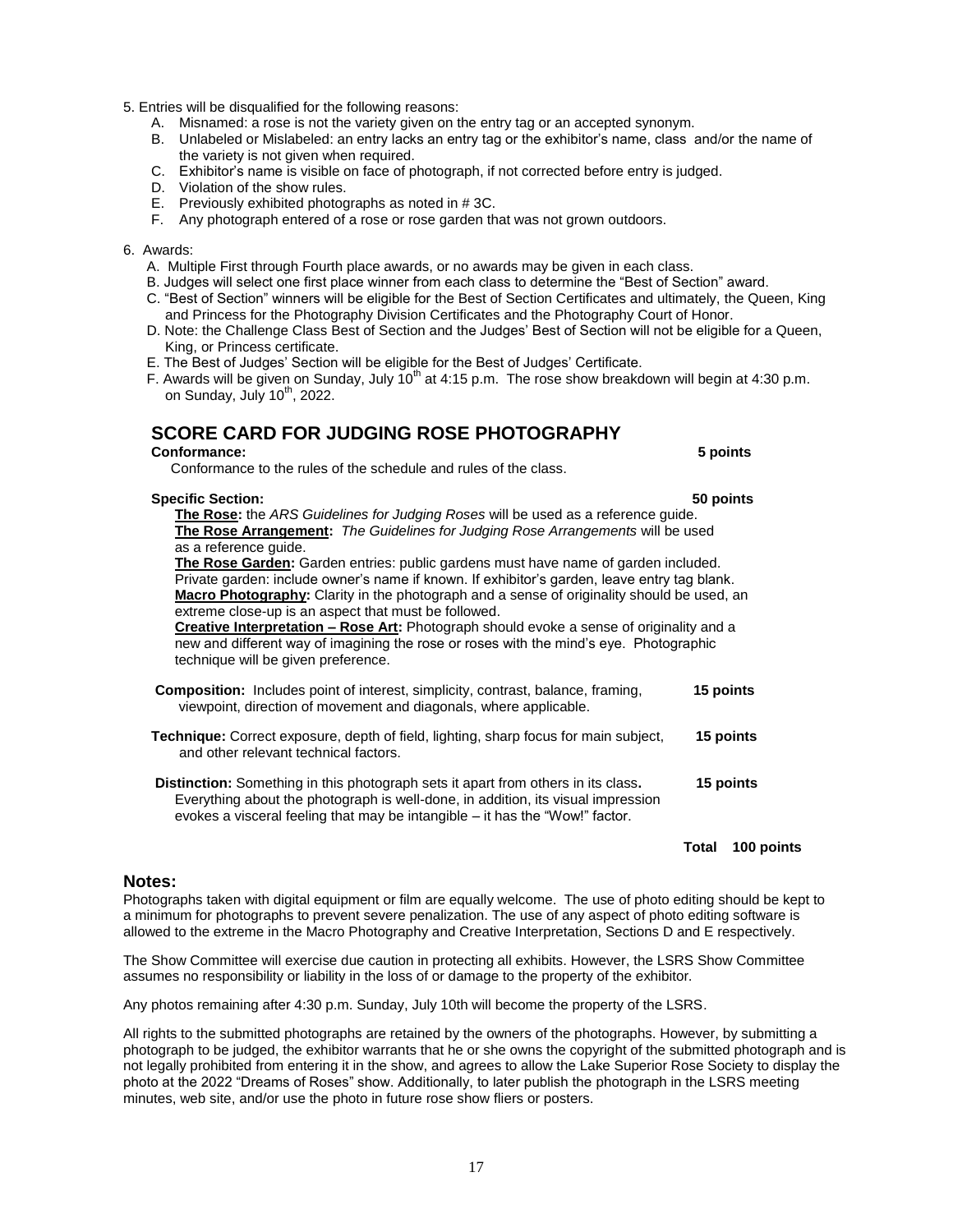- 5. Entries will be disqualified for the following reasons:
	- A. Misnamed: a rose is not the variety given on the entry tag or an accepted synonym.
	- B. Unlabeled or Mislabeled: an entry lacks an entry tag or the exhibitor's name, class and/or the name of the variety is not given when required.
	- C. Exhibitor's name is visible on face of photograph, if not corrected before entry is judged.
	- D. Violation of the show rules.
	- E. Previously exhibited photographs as noted in # 3C.
	- F. Any photograph entered of a rose or rose garden that was not grown outdoors.

#### 6. Awards:

- A. Multiple First through Fourth place awards, or no awards may be given in each class.
- B. Judges will select one first place winner from each class to determine the "Best of Section" award.
- C. "Best of Section" winners will be eligible for the Best of Section Certificates and ultimately, the Queen, King and Princess for the Photography Division Certificates and the Photography Court of Honor.
- D. Note: the Challenge Class Best of Section and the Judges' Best of Section will not be eligible for a Queen, King, or Princess certificate.
- E. The Best of Judges' Section will be eligible for the Best of Judges' Certificate.
- F. Awards will be given on Sunday, July  $10^{th}$  at 4:15 p.m. The rose show breakdown will begin at 4:30 p.m. on Sunday, July  $10^{th}$ , 2022.

#### **SCORE CARD FOR JUDGING ROSE PHOTOGRAPHY**

#### **Conformance: 5 points**

Conformance to the rules of the schedule and rules of the class.

#### **Specific Section: 50 points**

 **The Rose:** the *ARS Guidelines for Judging Roses* will be used as a reference guide. **The Rose Arrangement:** *The Guidelines for Judging Rose Arrangements* will be used as a reference guide.

 **The Rose Garden:** Garden entries: public gardens must have name of garden included. Private garden: include owner's name if known. If exhibitor's garden, leave entry tag blank. **Macro Photography:** Clarity in the photograph and a sense of originality should be used, an extreme close-up is an aspect that must be followed.

 **Creative Interpretation – Rose Art:** Photograph should evoke a sense of originality and a new and different way of imagining the rose or roses with the mind's eye. Photographic technique will be given preference.

- **Composition:** Includes point of interest, simplicity, contrast, balance, framing, **15 points** viewpoint, direction of movement and diagonals, where applicable.
- **Technique:** Correct exposure, depth of field, lighting, sharp focus for main subject, **15 points**  and other relevant technical factors.

**Distinction:** Something in this photograph sets it apart from others in its class**. 15 points** Everything about the photograph is well-done, in addition, its visual impression evokes a visceral feeling that may be intangible – it has the "Wow!" factor.

#### **Total 100 points**

#### **Notes:**

Photographs taken with digital equipment or film are equally welcome. The use of photo editing should be kept to a minimum for photographs to prevent severe penalization. The use of any aspect of photo editing software is allowed to the extreme in the Macro Photography and Creative Interpretation, Sections D and E respectively.

The Show Committee will exercise due caution in protecting all exhibits. However, the LSRS Show Committee assumes no responsibility or liability in the loss of or damage to the property of the exhibitor.

Any photos remaining after 4:30 p.m. Sunday, July 10th will become the property of the LSRS.

All rights to the submitted photographs are retained by the owners of the photographs. However, by submitting a photograph to be judged, the exhibitor warrants that he or she owns the copyright of the submitted photograph and is not legally prohibited from entering it in the show, and agrees to allow the Lake Superior Rose Society to display the photo at the 2022 "Dreams of Roses" show. Additionally, to later publish the photograph in the LSRS meeting minutes, web site, and/or use the photo in future rose show fliers or posters.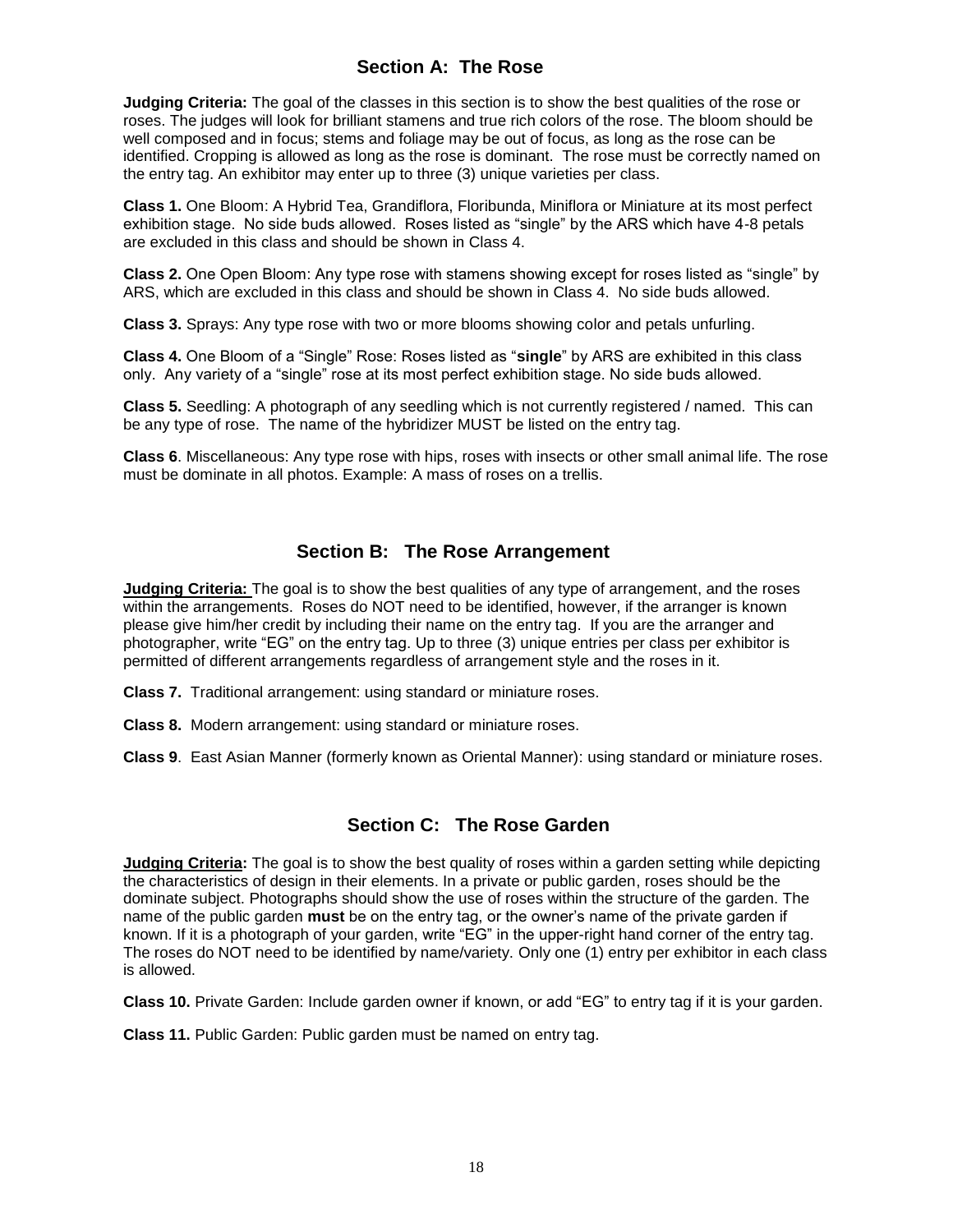#### **Section A: The Rose**

**Judging Criteria:** The goal of the classes in this section is to show the best qualities of the rose or roses. The judges will look for brilliant stamens and true rich colors of the rose. The bloom should be well composed and in focus; stems and foliage may be out of focus, as long as the rose can be identified. Cropping is allowed as long as the rose is dominant. The rose must be correctly named on the entry tag. An exhibitor may enter up to three (3) unique varieties per class.

**Class 1.** One Bloom: A Hybrid Tea, Grandiflora, Floribunda, Miniflora or Miniature at its most perfect exhibition stage. No side buds allowed. Roses listed as "single" by the ARS which have 4-8 petals are excluded in this class and should be shown in Class 4.

**Class 2.** One Open Bloom: Any type rose with stamens showing except for roses listed as "single" by ARS, which are excluded in this class and should be shown in Class 4. No side buds allowed.

**Class 3.** Sprays: Any type rose with two or more blooms showing color and petals unfurling.

**Class 4.** One Bloom of a "Single" Rose: Roses listed as "**single**" by ARS are exhibited in this class only. Any variety of a "single" rose at its most perfect exhibition stage. No side buds allowed.

**Class 5.** Seedling: A photograph of any seedling which is not currently registered / named. This can be any type of rose. The name of the hybridizer MUST be listed on the entry tag.

**Class 6**. Miscellaneous: Any type rose with hips, roses with insects or other small animal life. The rose must be dominate in all photos. Example: A mass of roses on a trellis.

#### **Section B: The Rose Arrangement**

**Judging Criteria:** The goal is to show the best qualities of any type of arrangement, and the roses within the arrangements. Roses do NOT need to be identified, however, if the arranger is known please give him/her credit by including their name on the entry tag. If you are the arranger and photographer, write "EG" on the entry tag. Up to three (3) unique entries per class per exhibitor is permitted of different arrangements regardless of arrangement style and the roses in it.

**Class 7.** Traditional arrangement: using standard or miniature roses.

**Class 8.** Modern arrangement: using standard or miniature roses.

**Class 9**. East Asian Manner (formerly known as Oriental Manner): using standard or miniature roses.

#### **Section C: The Rose Garden**

**Judging Criteria:** The goal is to show the best quality of roses within a garden setting while depicting the characteristics of design in their elements. In a private or public garden, roses should be the dominate subject. Photographs should show the use of roses within the structure of the garden. The name of the public garden **must** be on the entry tag, or the owner's name of the private garden if known. If it is a photograph of your garden, write "EG" in the upper-right hand corner of the entry tag. The roses do NOT need to be identified by name/variety. Only one (1) entry per exhibitor in each class is allowed.

**Class 10.** Private Garden: Include garden owner if known, or add "EG" to entry tag if it is your garden.

**Class 11.** Public Garden: Public garden must be named on entry tag.